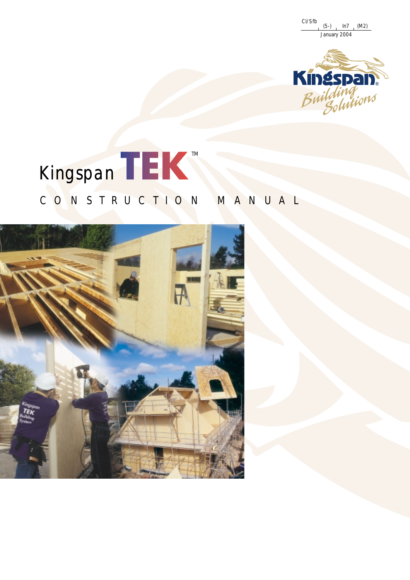CI/Sfb January 2004 (5-) In7 (M2)



# TM Kingspan

# CONSTRUCTION MANUAL

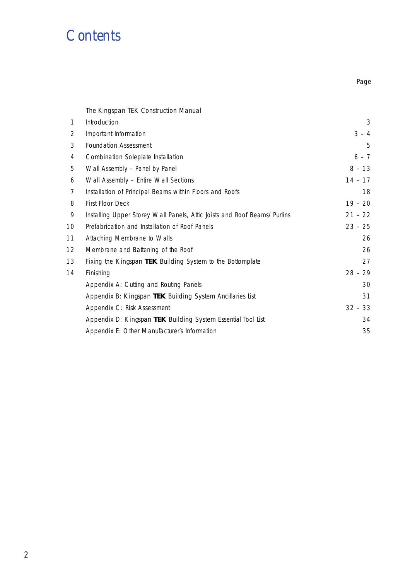# *Contents*

Page

# The Kingspan TEK Construction Manual

| 1  | Introduction                                                             | 3         |
|----|--------------------------------------------------------------------------|-----------|
| 2  | Important Information                                                    | $3 - 4$   |
| 3  | <b>Foundation Assessment</b>                                             | 5         |
| 4  | Combination Soleplate Installation                                       | $6 - 7$   |
| 5  | Wall Assembly - Panel by Panel                                           | $8 - 13$  |
| 6  | Wall Assembly - Entire Wall Sections                                     | $14 - 17$ |
| 7  | Installation of Principal Beams within Floors and Roofs                  | 18        |
| 8  | First Floor Deck                                                         | $19 - 20$ |
| 9  | Installing Upper Storey Wall Panels, Attic Joists and Roof Beams/Purlins | $21 - 22$ |
| 10 | Prefabrication and Installation of Roof Panels                           | $23 - 25$ |
| 11 | Attaching Membrane to Walls                                              | 26        |
| 12 | Membrane and Battening of the Roof                                       | 26        |
| 13 | Fixing the Kingspan TEK Building System to the Bottomplate               | 27        |
| 14 | Finishing                                                                | $28 - 29$ |
|    | Appendix A: Cutting and Routing Panels                                   | 30        |
|    | Appendix B: Kingspan TEK Building System Ancillaries List                | 31        |
|    | Appendix C: Risk Assessment                                              | $32 - 33$ |
|    | Appendix D: Kingspan TEK Building System Essential Tool List             | 34        |
|    | Appendix E: Other Manufacturer's Information                             | 35        |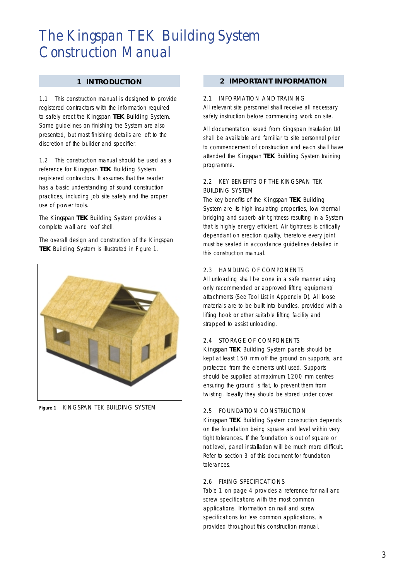#### **1 INTRODUCTION**

1.1 This construction manual is designed to provide registered contractors with the information required to safely erect the *Kingspan* **TEK** Building System. Some guidelines on finishing the System are also presented, but most finishing details are left to the discretion of the builder and specifier.

1.2 This construction manual should be used as a reference for *Kingspan* **TEK** Building System registered contractors. It assumes that the reader has a basic understanding of sound construction practices, including job site safety and the proper use of power tools.

The *Kingspan* **TEK** Building System provides a complete wall and roof shell.

The overall design and construction of the *Kingspan* **TEK** Building System is illustrated in Figure 1.



**Figure 1** KINGSPAN TEK BUILDING SYSTEM

#### **2 IMPORTANT INFORMATION**

#### 2.1 INFORMATION AND TRAINING

All relevant site personnel shall receive all necessary safety instruction before commencing work on site.

All documentation issued from Kingspan Insulation Ltd shall be available and familiar to site personnel prior to commencement of construction and each shall have attended the *Kingspan* **TEK** Building System training programme.

### 2.2 KEY BENEFITS OF THE KINGSPAN TEK BUILDING SYSTEM

The key benefits of the *Kingspan* **TEK** Building System are its high insulating properties, low thermal bridging and superb air tightness resulting in a System that is highly energy efficient. Air tightness is critically dependant on erection quality, therefore every joint must be sealed in accordance guidelines detailed in this construction manual.

### 2.3 HANDLING OF COMPONENTS

All unloading shall be done in a safe manner using only recommended or approved lifting equipment/ attachments (See Tool List in Appendix D). All loose materials are to be built into bundles, provided with a lifting hook or other suitable lifting facility and strapped to assist unloading.

### 2.4 STORAGE OF COMPONENTS

*Kingspan* **TEK** Building System panels should be kept at least 150 mm off the ground on supports, and protected from the elements until used. Supports should be supplied at maximum 1200 mm centres ensuring the ground is flat, to prevent them from twisting. Ideally they should be stored under cover.

### 2.5 FOUNDATION CONSTRUCTION

*Kingspan* **TEK** Building System construction depends on the foundation being square and level within very tight tolerances. If the foundation is out of square or not level, panel installation will be much more difficult. Refer to section 3 of this document for foundation tolerances.

#### 2.6 FIXING SPECIFICATIONS

Table 1 on page 4 provides a reference for nail and screw specifications with the most common applications. Information on nail and screw specifications for less common applications, is provided throughout this construction manual.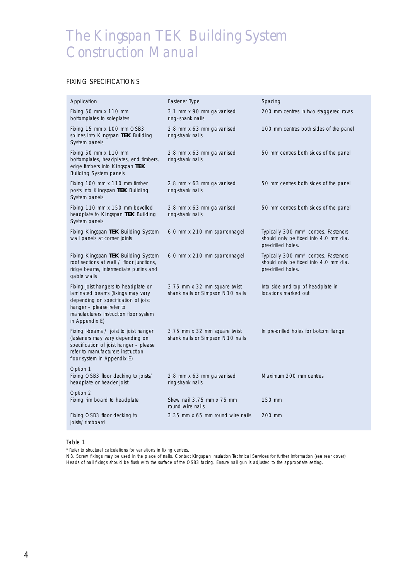## FIXING SPECIFICATIONS

| Application                                                                                                                                                                                              | Fastener Type                                                    | Spacing                                                                                                         |
|----------------------------------------------------------------------------------------------------------------------------------------------------------------------------------------------------------|------------------------------------------------------------------|-----------------------------------------------------------------------------------------------------------------|
| Fixing 50 mm x 110 mm<br>bottomplates to soleplates                                                                                                                                                      | 3.1 mm x 90 mm galvanised<br>ring-shank nails                    | 200 mm centres in two staggered rows                                                                            |
| Fixing 15 mm x 100 mm OSB3<br>splines into Kingspan TEK Building<br>System panels                                                                                                                        | 2.8 mm x 63 mm galvanised<br>ring-shank nails                    | 100 mm centres both sides of the panel                                                                          |
| Fixing 50 mm x 110 mm<br>bottomplates, headplates, end timbers,<br>edge timbers into Kingspan TEK<br><b>Building System panels</b>                                                                       | 2.8 mm x 63 mm galvanised<br>ring-shank nails                    | 50 mm centres both sides of the panel                                                                           |
| Fixing 100 mm x 110 mm timber<br>posts into Kingspan TEK Building<br>System panels                                                                                                                       | 2.8 mm x 63 mm galvanised<br>ring-shank nails                    | 50 mm centres both sides of the panel                                                                           |
| Fixing 110 mm x 150 mm bevelled<br>headplate to Kingspan TEK Building<br>System panels                                                                                                                   | 2.8 mm x 63 mm galvanised<br>ring-shank nails                    | 50 mm centres both sides of the panel                                                                           |
| Fixing <i>Kingspan</i> TEK Building System<br>wall panels at corner joints                                                                                                                               | 6.0 mm x 210 mm sparrennagel                                     | Typically 300 mm <sup>*</sup> centres. Fasteners<br>should only be fixed into 4.0 mm dia.<br>pre-drilled holes. |
| Fixing Kingspan TEK Building System<br>roof sections at wall / floor junctions,<br>ridge beams, intermediate purlins and<br>gable walls                                                                  | 6.0 mm x 210 mm sparrennagel                                     | Typically 300 mm* centres. Fasteners<br>should only be fixed into 4.0 mm dia.<br>pre-drilled holes.             |
| Fixing joist hangers to headplate or<br>laminated beams (fixings may vary<br>depending on specification of joist<br>hanger - please refer to<br>manufacturers instruction floor system<br>in Appendix E) | 3.75 mm x 32 mm square twist<br>shank nails or Simpson N10 nails | Into side and top of headplate in<br>locations marked out                                                       |
| Fixing I-beams / joist to joist hanger<br>(fasteners may vary depending on<br>specification of joist hanger - please<br>refer to manufacturers instruction<br>floor system in Appendix E)                | 3.75 mm x 32 mm square twist<br>shank nails or Simpson N10 nails | In pre-drilled holes for bottom flange                                                                          |
| Option 1<br>Fixing OSB3 floor decking to joists/<br>headplate or header joist                                                                                                                            | 2.8 mm x 63 mm galvanised<br>ring-shank nails                    | Maximum 200 mm centres                                                                                          |
| Option 2<br>Fixing rim board to headplate                                                                                                                                                                | Skew nail 3.75 mm x 75 mm<br>round wire nails                    | 150 mm                                                                                                          |
| Fixing OSB3 floor decking to<br>joists/rimboard                                                                                                                                                          | 3.35 mm x 65 mm round wire nails                                 | 200 mm                                                                                                          |

Table 1

*\*Refer to structural calculations for variations in fixing centres.*

*NB. Screw fixings may be used in the place of nails. Contact Kingspan Insulation Technical Services for further information (see rear cover). Heads of nail fixings should be flush with the surface of the OSB3 facing. Ensure nail gun is adjusted to the appropriate setting.*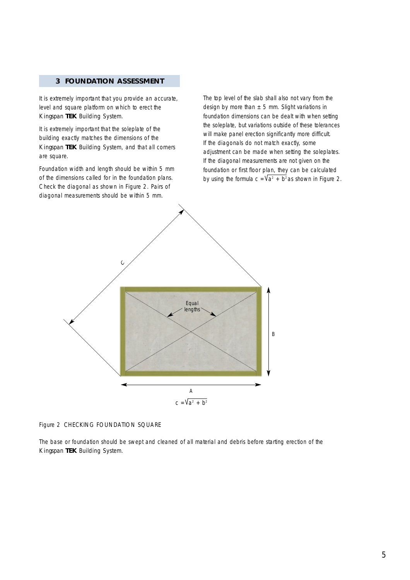## **3 FOUNDATION ASSESSMENT**

It is extremely important that you provide an accurate, level and square platform on which to erect the *Kingspan* **TEK** Building System.

It is extremely important that the soleplate of the building exactly matches the dimensions of the *Kingspan* **TEK** Building System, and that all corners are square.

Foundation width and length should be within 5 mm of the dimensions called for in the foundation plans. Check the diagonal as shown in Figure 2. Pairs of diagonal measurements should be within 5 mm.

The top level of the slab shall also not vary from the design by more than  $\pm$  5 mm. Slight variations in foundation dimensions can be dealt with when setting the soleplate, but variations outside of these tolerances will make panel erection significantly more difficult. If the diagonals do not match exactly, some adjustment can be made when setting the soleplates. If the diagonal measurements are not given on the foundation or first floor plan, they can be calculated by using the formula  $c = Va^2 + b^2$ as shown in Figure 2.



Figure 2 CHECKING FOUNDATION SQUARE

The base or foundation should be swept and cleaned of all material and debris before starting erection of the *Kingspan* **TEK** Building System.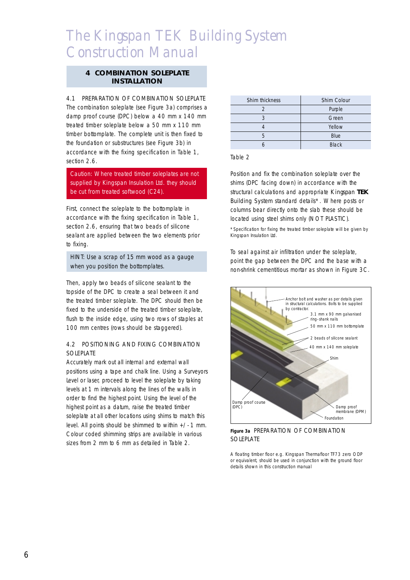#### **4 COMBINATION SOLEPLATE INSTALLATION**

#### 4.1 PREPARATION OF COMBINATION SOLEPLATE

The combination soleplate (see Figure 3a) comprises a damp proof course (DPC) below a 40 mm x 140 mm treated timber soleplate below a 50 mm x 110 mm timber bottomplate. The complete unit is then fixed to the foundation or substructures (see Figure 3b) in accordance with the fixing specification in Table 1, section 2.6

Caution: Where treated timber soleplates are not supplied by Kingspan Insulation Ltd. they should be cut from treated softwood (C24).

First, connect the soleplate to the bottomplate in accordance with the fixing specification in Table 1, section 2.6, ensuring that two beads of silicone sealant are applied between the two elements prior to fixing.

HINT: Use a scrap of 15 mm wood as a gauge when you position the bottomplates.

Then, apply two beads of silicone sealant to the topside of the DPC to create a seal between it and the treated timber soleplate. The DPC should then be fixed to the underside of the treated timber soleplate, flush to the inside edge, using two rows of staples at 100 mm centres (rows should be staggered).

## 4.2 POSITIONING AND FIXING COMBINATION **SOLEPLATE**

Accurately mark out all internal and external wall positions using a tape and chalk line. Using a Surveyors Level or laser, proceed to level the soleplate by taking levels at 1 m intervals along the lines of the walls in order to find the highest point. Using the level of the highest point as a datum, raise the treated timber soleplate at all other locations using shims to match this level. All points should be shimmed to within +/- 1 mm. Colour coded shimming strips are available in various sizes from 2 mm to 6 mm as detailed in Table 2.

| Shim thickness | Shim Colour  |
|----------------|--------------|
|                | Purple       |
| 3              | Green        |
|                | Yellow       |
| $\sqrt{2}$     | Blue         |
|                | <b>Black</b> |

#### Table 2

Position and fix the combination soleplate over the shims (DPC facing down) in accordance with the structural calculations and appropriate *Kingspan* **TEK** Building System standard details\*. Where posts or columns bear directly onto the slab these should be located using steel shims only (NOT PLASTIC).

\*Specification for fixing the treated timber soleplate will be given by Kingspan Insulation Ltd.

To seal against air infiltration under the soleplate, point the gap between the DPC and the base with a non-shrink cementitious mortar as shown in Figure 3C.



**Figure 3a** PREPARATION OF COMBINATION SOLEPLATE

*A floating timber floor e.g. Kingspan Thermafloor TF73 zero ODP or equivalent, should be used in conjunction with the ground floor details shown in this construction manual*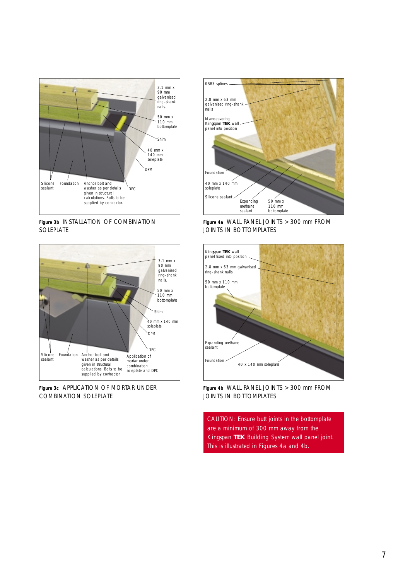

**Figure 3b** INSTALLATION OF COMBINATION SOLEPLATE



**Figure 3c** APPLICATION OF MORTAR UNDER COMBINATION SOLEPLATE



**Figure 4a** WALL PANEL JOINTS > 300 mm FROM JOINTS IN BOTTOMPLATES



**Figure 4b** WALL PANEL JOINTS > 300 mm FROM JOINTS IN BOTTOMPLATES

CAUTION: Ensure butt joints in the bottomplate are a minimum of 300 mm away from the *Kingspan* **TEK** Building System wall panel joint. This is illustrated in Figures 4a and 4b.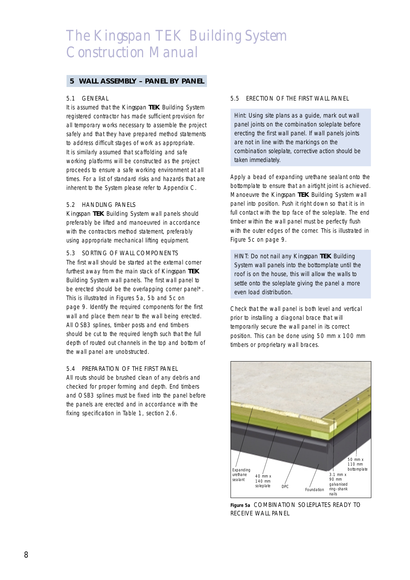#### **5 WALL ASSEMBLY – PANEL BY PANEL**

#### 5.1 GENERAL

It is assumed that the *Kingspan* **TEK** Building System registered contractor has made sufficient provision for all temporary works necessary to assemble the project safely and that they have prepared method statements to address difficult stages of work as appropriate. It is similarly assumed that scaffolding and safe working platforms will be constructed as the project proceeds to ensure a safe working environment at all times. For a list of standard risks and hazards that are inherent to the System please refer to Appendix C.

#### 5.2 HANDLING PANELS

*Kingspan* **TEK** Building System wall panels should preferably be lifted and manoeuvred in accordance with the contractors method statement, preferably using appropriate mechanical lifting equipment.

#### 5.3 SORTING OF WALL COMPONENTS

The first wall should be started at the external corner furthest away from the main stack of *Kingspan* **TEK** Building System wall panels. The first wall panel to be erected should be the overlapping corner panel\*. This is illustrated in Figures 5a, 5b and 5c on page 9. Identify the required components for the first wall and place them near to the wall being erected. All OSB3 splines, timber posts and end timbers should be cut to the required length such that the full depth of routed out channels in the top and bottom of the wall panel are unobstructed.

#### 5.4 PREPARATION OF THE FIRST PANEL

All routs should be brushed clean of any debris and checked for proper forming and depth. End timbers and OSB3 splines must be fixed into the panel before the panels are erected and in accordance with the fixing specification in Table 1, section 2.6.

#### 5.5 ERECTION OF THE FIRST WALL PANEL

Hint: Using site plans as a guide, mark out wall panel joints on the combination soleplate before erecting the first wall panel. If wall panels joints are not in line with the markings on the combination soleplate, corrective action should be taken immediately.

Apply a bead of expanding urethane sealant onto the bottomplate to ensure that an airtight joint is achieved. Manoeuvre the *Kingspan* **TEK** Building System wall panel into position. Push it right down so that it is in full contact with the top face of the soleplate. The end timber within the wall panel must be perfectly flush with the outer edges of the corner. This is illustrated in Figure 5c on page 9.

HINT: Do not nail any *Kingspan* **TEK** Building System wall panels into the bottomplate until the roof is on the house, this will allow the walls to settle onto the soleplate giving the panel a more even load distribution.

Check that the wall panel is both level and vertical prior to installing a diagonal brace that will temporarily secure the wall panel in its correct position. This can be done using 50 mm x 100 mm timbers or proprietary wall braces.



**Figure 5a** COMBINATION SOLEPLATES READY TO RECEIVE WALL PANEL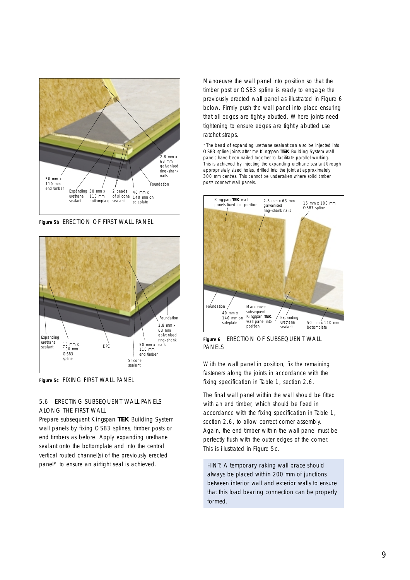

**Figure 5b** ERECTION OF FIRST WALL PANEL



**Figure 5c** FIXING FIRST WALL PANEL

## 5.6 ERECTING SUBSEQUENT WALL PANELS ALONG THE FIRST WALL

Prepare subsequent *Kingspan* **TEK** Building System wall panels by fixing OSB3 splines, timber posts or end timbers as before. Apply expanding urethane sealant onto the bottomplate and into the central vertical routed channel(s) of the previously erected panel\* to ensure an airtight seal is achieved.

Manoeuvre the wall panel into position so that the timber post or OSB3 spline is ready to engage the previously erected wall panel as illustrated in Figure 6 below. Firmly push the wall panel into place ensuring that all edges are tightly abutted. Where joints need tightening to ensure edges are tightly abutted use ratchet straps.

\*The bead of expanding urethane sealant can also be injected into OSB3 spline joints after the *Kingspan* **TEK** Building System wall panels have been nailed together to facilitate parallel working. This is achieved by injecting the expanding urethane sealant through appropriately sized holes, drilled into the joint at approximately 300 mm centres. This cannot be undertaken where solid timber posts connect wall panels.



**Figure 6** ERECTION OF SUBSEQUENT WALL PANELS

With the wall panel in position, fix the remaining fasteners along the joints in accordance with the fixing specification in Table 1, section 2.6.

The final wall panel within the wall should be fitted with an end timber, which should be fixed in accordance with the fixing specification in Table 1, section 2.6, to allow correct corner assembly. Again, the end timber within the wall panel must be perfectly flush with the outer edges of the corner. This is illustrated in Figure 5c.

HINT: A temporary raking wall brace should always be placed within 200 mm of junctions between interior wall and exterior walls to ensure that this load bearing connection can be properly formed.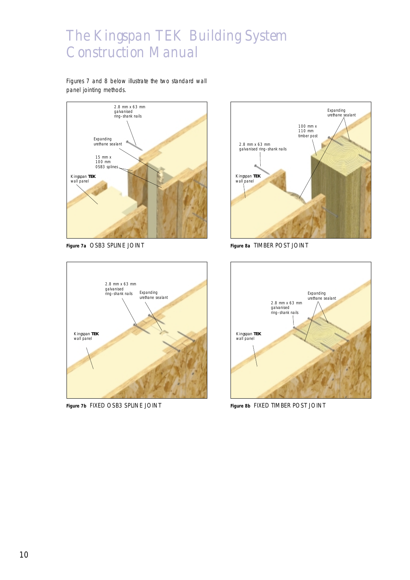Figures 7 and 8 below illustrate the two standard wall panel jointing methods.



**Figure 7a** OSB3 SPLINE JOINT



**Figure 8a** TIMBER POST JOINT



**Figure 7b** FIXED OSB3 SPLINE JOINT



**Figure 8b** FIXED TIMBER POST JOINT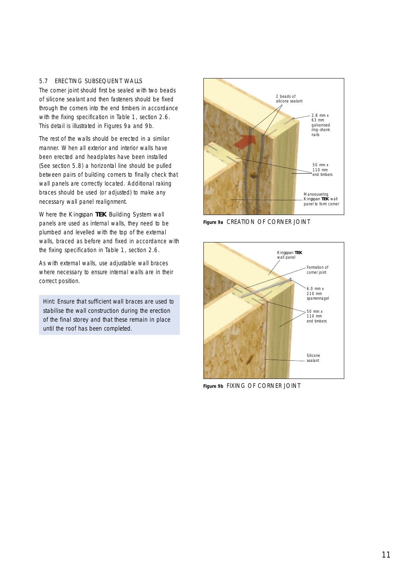#### 5.7 ERECTING SUBSEQUENT WALLS

The corner joint should first be sealed with two beads of silicone sealant and then fasteners should be fixed through the corners into the end timbers in accordance with the fixing specification in Table 1, section 2.6. This detail is illustrated in Figures 9a and 9b.

The rest of the walls should be erected in a similar manner. When all exterior and interior walls have been erected and headplates have been installed (See section 5.8) a horizontal line should be pulled between pairs of building corners to finally check that wall panels are correctly located. Additional raking braces should be used (or adjusted) to make any necessary wall panel realignment.

Where the *Kingspan* **TEK** Building System wall panels are used as internal walls, they need to be plumbed and levelled with the top of the external walls, braced as before and fixed in accordance with the fixing specification in Table 1, section 2.6.

As with external walls, use adjustable wall braces where necessary to ensure internal walls are in their correct position.

Hint: Ensure that sufficient wall braces are used to stabilise the wall construction during the erection of the final storey and that these remain in place until the roof has been completed.



**Figure 9a** CREATION OF CORNER JOINT



**Figure 9b** FIXING OF CORNER JOINT